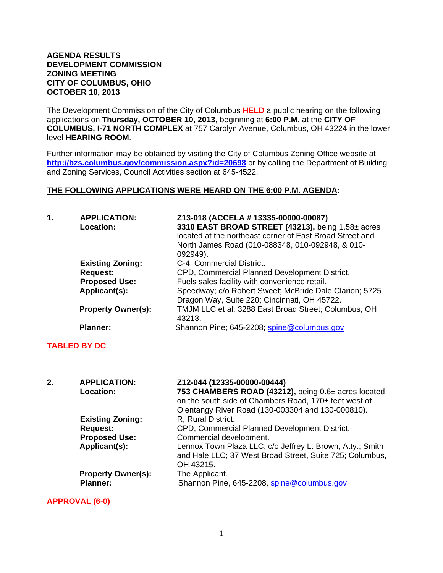#### **AGENDA RESULTS DEVELOPMENT COMMISSION ZONING MEETING CITY OF COLUMBUS, OHIO OCTOBER 10, 2013**

The Development Commission of the City of Columbus **HELD** a public hearing on the following applications on **Thursday, OCTOBER 10, 2013,** beginning at **6:00 P.M.** at the **CITY OF COLUMBUS, I-71 NORTH COMPLEX** at 757 Carolyn Avenue, Columbus, OH 43224 in the lower level **HEARING ROOM**.

Further information may be obtained by visiting the City of Columbus Zoning Office website at **http://bzs.columbus.gov/commission.aspx?id=20698** or by calling the Department of Building and Zoning Services, Council Activities section at 645-4522.

#### **THE FOLLOWING APPLICATIONS WERE HEARD ON THE 6:00 P.M. AGENDA:**

| 1. | <b>APPLICATION:</b><br>Location: | Z13-018 (ACCELA # 13335-00000-00087)<br>3310 EAST BROAD STREET (43213), being 1.58± acres<br>located at the northeast corner of East Broad Street and<br>North James Road (010-088348, 010-092948, & 010-<br>092949). |
|----|----------------------------------|-----------------------------------------------------------------------------------------------------------------------------------------------------------------------------------------------------------------------|
|    | <b>Existing Zoning:</b>          | C-4, Commercial District.                                                                                                                                                                                             |
|    | <b>Request:</b>                  | CPD, Commercial Planned Development District.                                                                                                                                                                         |
|    | <b>Proposed Use:</b>             | Fuels sales facility with convenience retail.                                                                                                                                                                         |
|    | Applicant(s):                    | Speedway; c/o Robert Sweet; McBride Dale Clarion; 5725<br>Dragon Way, Suite 220; Cincinnati, OH 45722.                                                                                                                |
|    | <b>Property Owner(s):</b>        | TMJM LLC et al; 3288 East Broad Street; Columbus, OH<br>43213.                                                                                                                                                        |
|    | <b>Planner:</b>                  | Shannon Pine; 645-2208; spine@columbus.gov                                                                                                                                                                            |

## **TABLED BY DC**

| 2. | <b>APPLICATION:</b><br><b>Location:</b>      | Z12-044 (12335-00000-00444)<br>753 CHAMBERS ROAD (43212), being 0.6± acres located<br>on the south side of Chambers Road, 170± feet west of<br>Olentangy River Road (130-003304 and 130-000810). |
|----|----------------------------------------------|--------------------------------------------------------------------------------------------------------------------------------------------------------------------------------------------------|
|    | <b>Existing Zoning:</b><br><b>Request:</b>   | R, Rural District.<br>CPD, Commercial Planned Development District.                                                                                                                              |
|    | <b>Proposed Use:</b><br>Applicant(s):        | Commercial development.<br>Lennox Town Plaza LLC; c/o Jeffrey L. Brown, Atty.; Smith<br>and Hale LLC; 37 West Broad Street, Suite 725; Columbus,<br>OH 43215.                                    |
|    | <b>Property Owner(s):</b><br><b>Planner:</b> | The Applicant.<br>Shannon Pine, 645-2208, spine@columbus.gov                                                                                                                                     |

## **APPROVAL (6-0)**